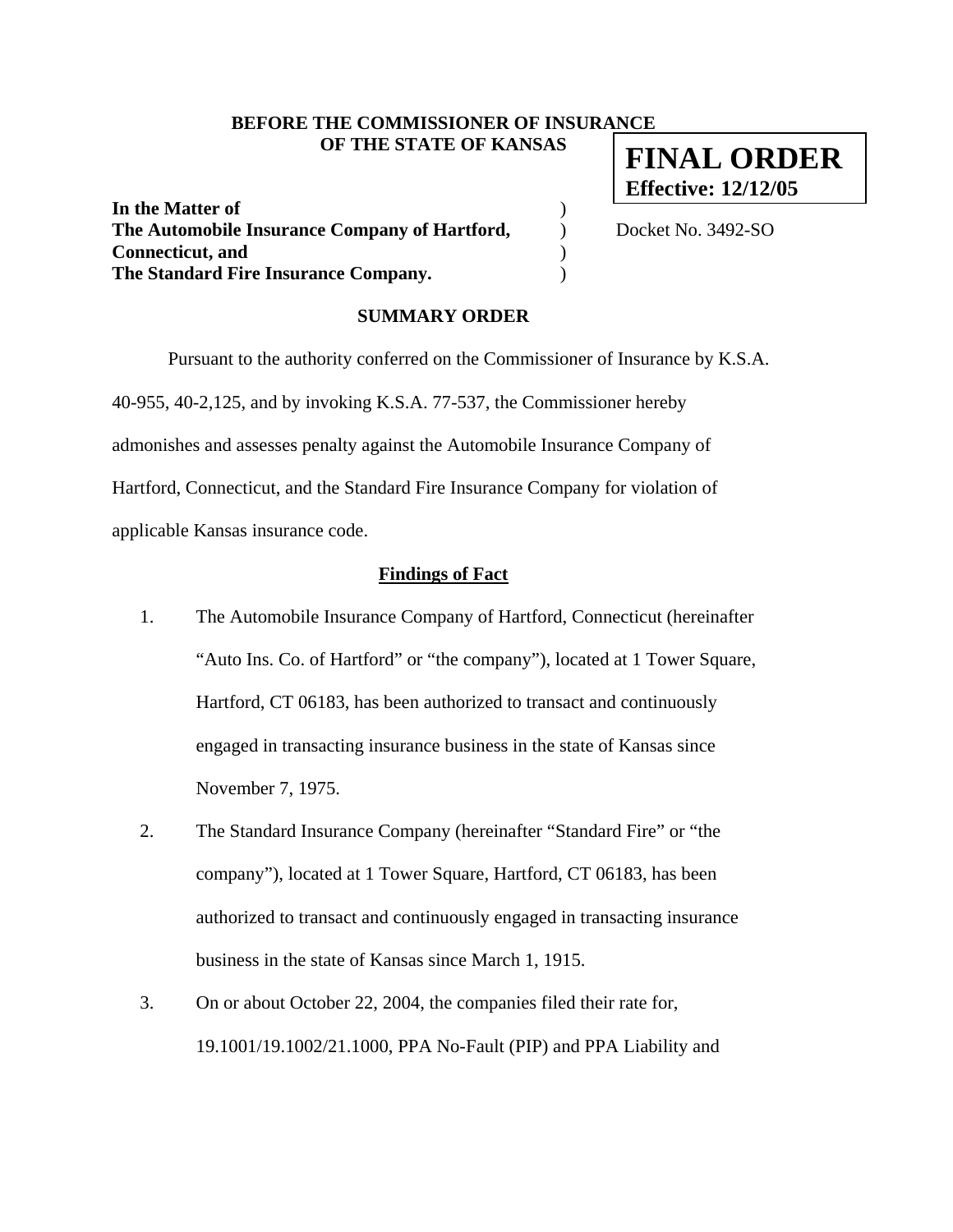## **BEFORE THE COMMISSIONER OF INSURANCE OF THE STATE OF KANSAS**

**In the Matter of** ) **The Automobile Insurance Company of Hartford, Docket No. 3492-SO Connecticut, and** ) **The Standard Fire Insurance Company.** )

**FINAL ORDER Effective: 12/12/05**

#### **SUMMARY ORDER**

 Pursuant to the authority conferred on the Commissioner of Insurance by K.S.A. 40-955, 40-2,125, and by invoking K.S.A. 77-537, the Commissioner hereby admonishes and assesses penalty against the Automobile Insurance Company of Hartford, Connecticut, and the Standard Fire Insurance Company for violation of applicable Kansas insurance code.

### **Findings of Fact**

- 1. The Automobile Insurance Company of Hartford, Connecticut (hereinafter "Auto Ins. Co. of Hartford" or "the company"), located at 1 Tower Square, Hartford, CT 06183, has been authorized to transact and continuously engaged in transacting insurance business in the state of Kansas since November 7, 1975.
- 2. The Standard Insurance Company (hereinafter "Standard Fire" or "the company"), located at 1 Tower Square, Hartford, CT 06183, has been authorized to transact and continuously engaged in transacting insurance business in the state of Kansas since March 1, 1915.
- 3. On or about October 22, 2004, the companies filed their rate for, 19.1001/19.1002/21.1000, PPA No-Fault (PIP) and PPA Liability and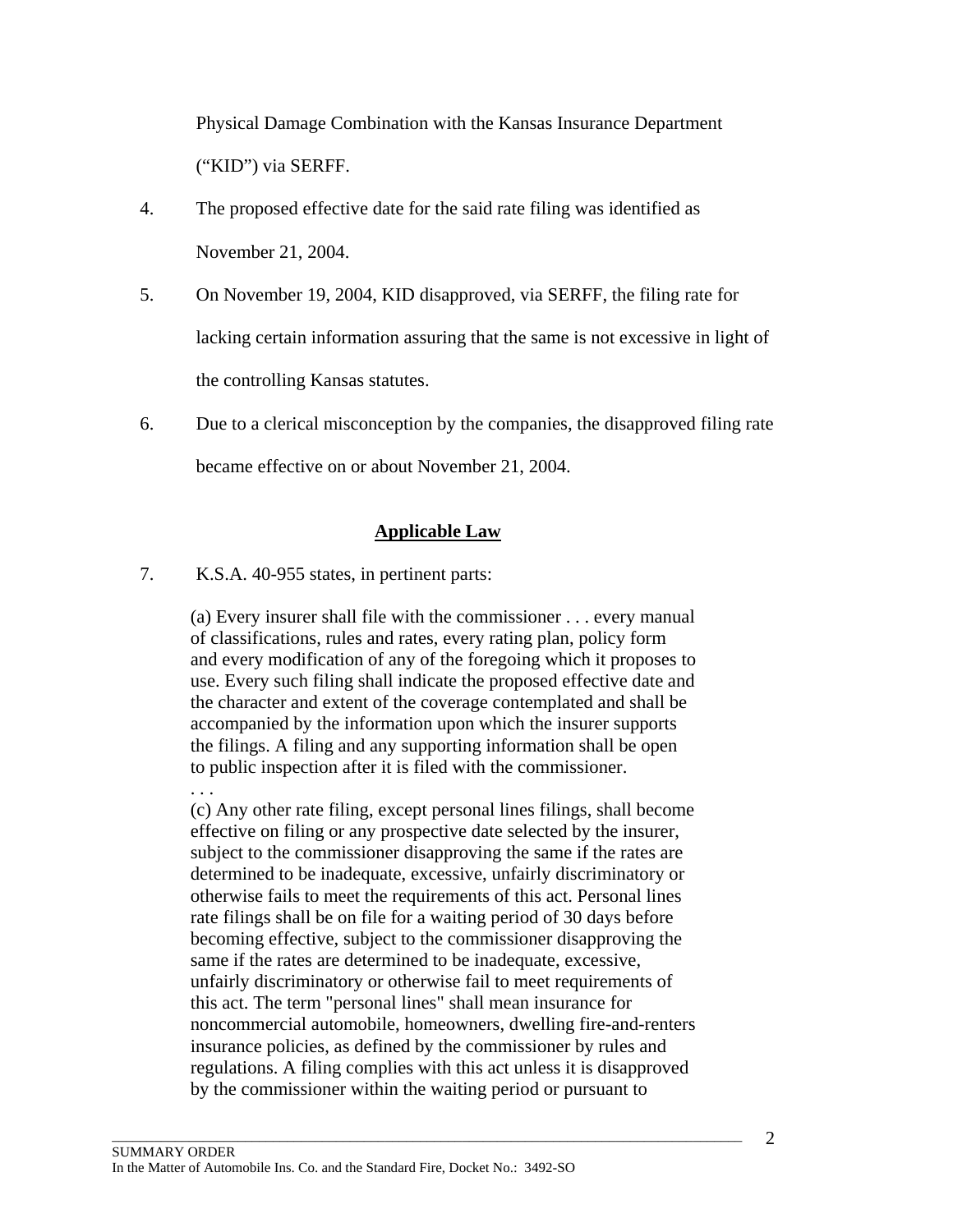Physical Damage Combination with the Kansas Insurance Department ("KID") via SERFF.

- 4. The proposed effective date for the said rate filing was identified as November 21, 2004.
- 5. On November 19, 2004, KID disapproved, via SERFF, the filing rate for lacking certain information assuring that the same is not excessive in light of the controlling Kansas statutes.
- 6. Due to a clerical misconception by the companies, the disapproved filing rate became effective on or about November 21, 2004.

## **Applicable Law**

7. K.S.A. 40-955 states, in pertinent parts:

. . .

(a) Every insurer shall file with the commissioner . . . every manual of classifications, rules and rates, every rating plan, policy form and every modification of any of the foregoing which it proposes to use. Every such filing shall indicate the proposed effective date and the character and extent of the coverage contemplated and shall be accompanied by the information upon which the insurer supports the filings. A filing and any supporting information shall be open to public inspection after it is filed with the commissioner.

(c) Any other rate filing, except personal lines filings, shall become effective on filing or any prospective date selected by the insurer, subject to the commissioner disapproving the same if the rates are determined to be inadequate, excessive, unfairly discriminatory or otherwise fails to meet the requirements of this act. Personal lines rate filings shall be on file for a waiting period of 30 days before becoming effective, subject to the commissioner disapproving the same if the rates are determined to be inadequate, excessive, unfairly discriminatory or otherwise fail to meet requirements of this act. The term "personal lines" shall mean insurance for noncommercial automobile, homeowners, dwelling fire-and-renters insurance policies, as defined by the commissioner by rules and regulations. A filing complies with this act unless it is disapproved by the commissioner within the waiting period or pursuant to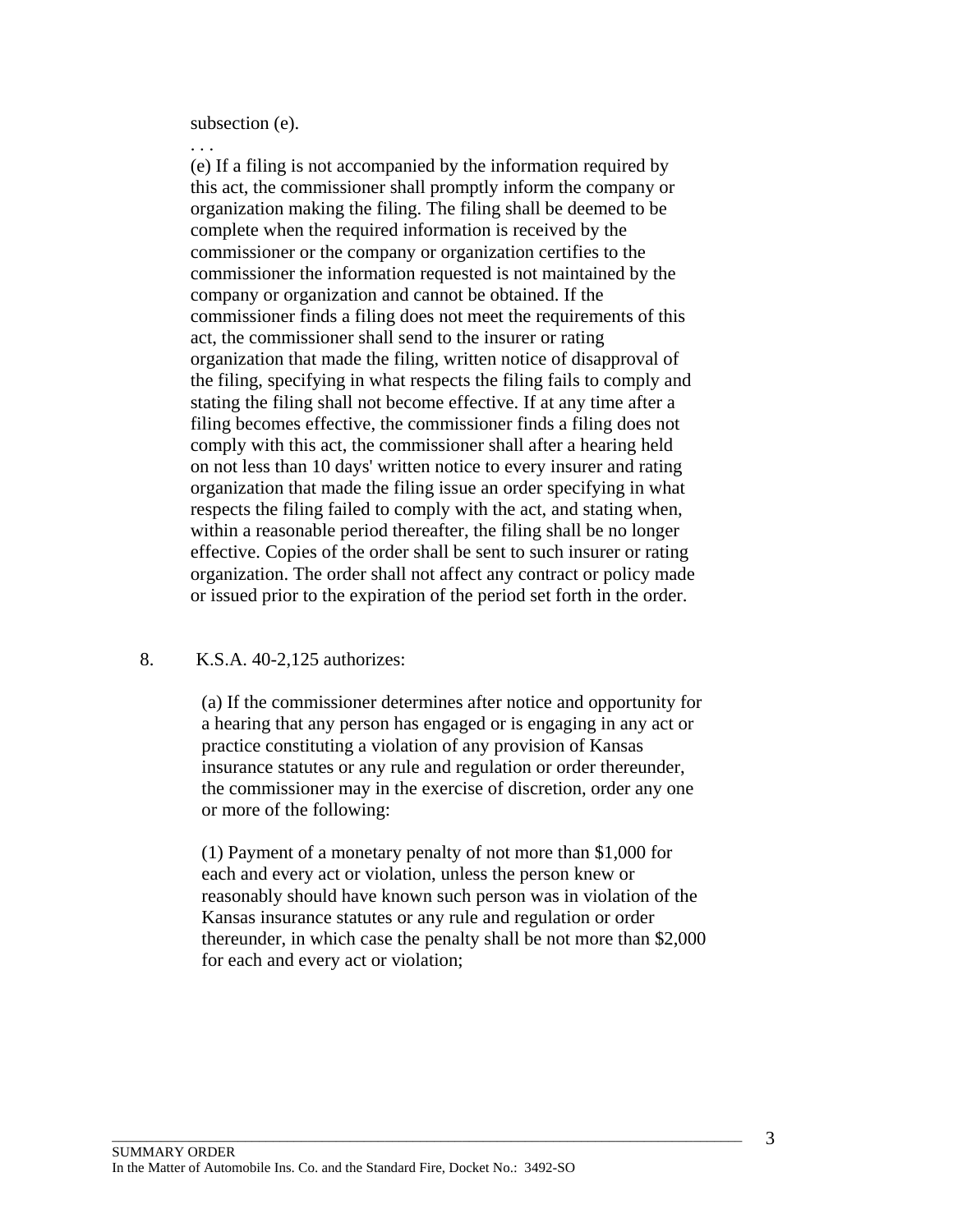subsection (e).

. . .

(e) If a filing is not accompanied by the information required by this act, the commissioner shall promptly inform the company or organization making the filing. The filing shall be deemed to be complete when the required information is received by the commissioner or the company or organization certifies to the commissioner the information requested is not maintained by the company or organization and cannot be obtained. If the commissioner finds a filing does not meet the requirements of this act, the commissioner shall send to the insurer or rating organization that made the filing, written notice of disapproval of the filing, specifying in what respects the filing fails to comply and stating the filing shall not become effective. If at any time after a filing becomes effective, the commissioner finds a filing does not comply with this act, the commissioner shall after a hearing held on not less than 10 days' written notice to every insurer and rating organization that made the filing issue an order specifying in what respects the filing failed to comply with the act, and stating when, within a reasonable period thereafter, the filing shall be no longer effective. Copies of the order shall be sent to such insurer or rating organization. The order shall not affect any contract or policy made or issued prior to the expiration of the period set forth in the order.

## 8. K.S.A. 40-2,125 authorizes:

(a) If the commissioner determines after notice and opportunity for a hearing that any person has engaged or is engaging in any act or practice constituting a violation of any provision of Kansas insurance statutes or any rule and regulation or order thereunder, the commissioner may in the exercise of discretion, order any one or more of the following:

(1) Payment of a monetary penalty of not more than \$1,000 for each and every act or violation, unless the person knew or reasonably should have known such person was in violation of the Kansas insurance statutes or any rule and regulation or order thereunder, in which case the penalty shall be not more than \$2,000 for each and every act or violation;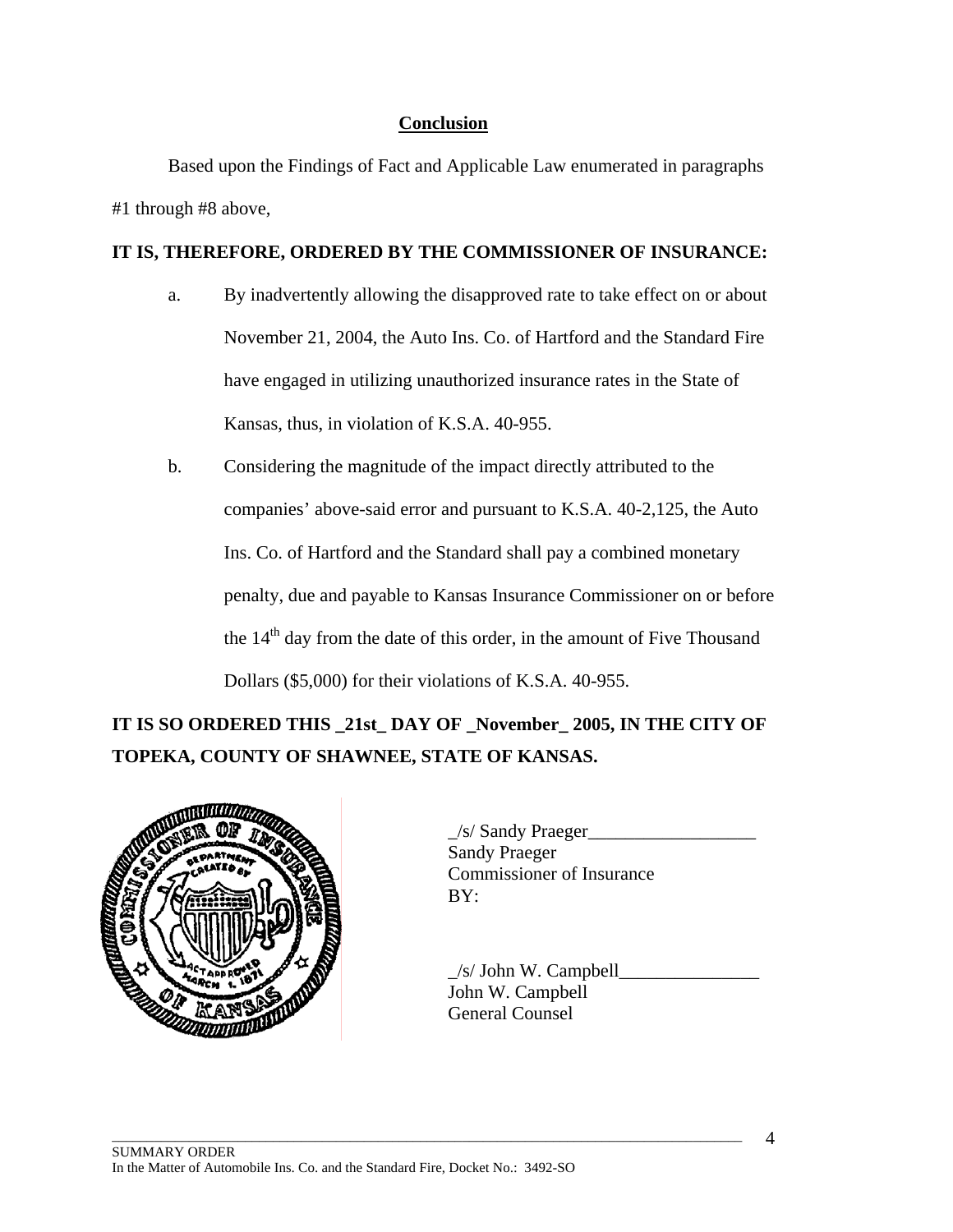# **Conclusion**

 Based upon the Findings of Fact and Applicable Law enumerated in paragraphs #1 through #8 above,

# **IT IS, THEREFORE, ORDERED BY THE COMMISSIONER OF INSURANCE:**

- a. By inadvertently allowing the disapproved rate to take effect on or about November 21, 2004, the Auto Ins. Co. of Hartford and the Standard Fire have engaged in utilizing unauthorized insurance rates in the State of Kansas, thus, in violation of K.S.A. 40-955.
- b. Considering the magnitude of the impact directly attributed to the companies' above-said error and pursuant to K.S.A. 40-2,125, the Auto Ins. Co. of Hartford and the Standard shall pay a combined monetary penalty, due and payable to Kansas Insurance Commissioner on or before the  $14<sup>th</sup>$  day from the date of this order, in the amount of Five Thousand Dollars (\$5,000) for their violations of K.S.A. 40-955.

**IT IS SO ORDERED THIS \_21st\_ DAY OF \_November\_ 2005, IN THE CITY OF TOPEKA, COUNTY OF SHAWNEE, STATE OF KANSAS.** 



\_/s/ Sandy Praeger\_\_\_\_\_\_\_\_\_\_\_\_\_\_\_\_\_\_ Sandy Praeger Commissioner of Insurance

 $\angle$ s/ John W. Campbell John W. Campbell General Counsel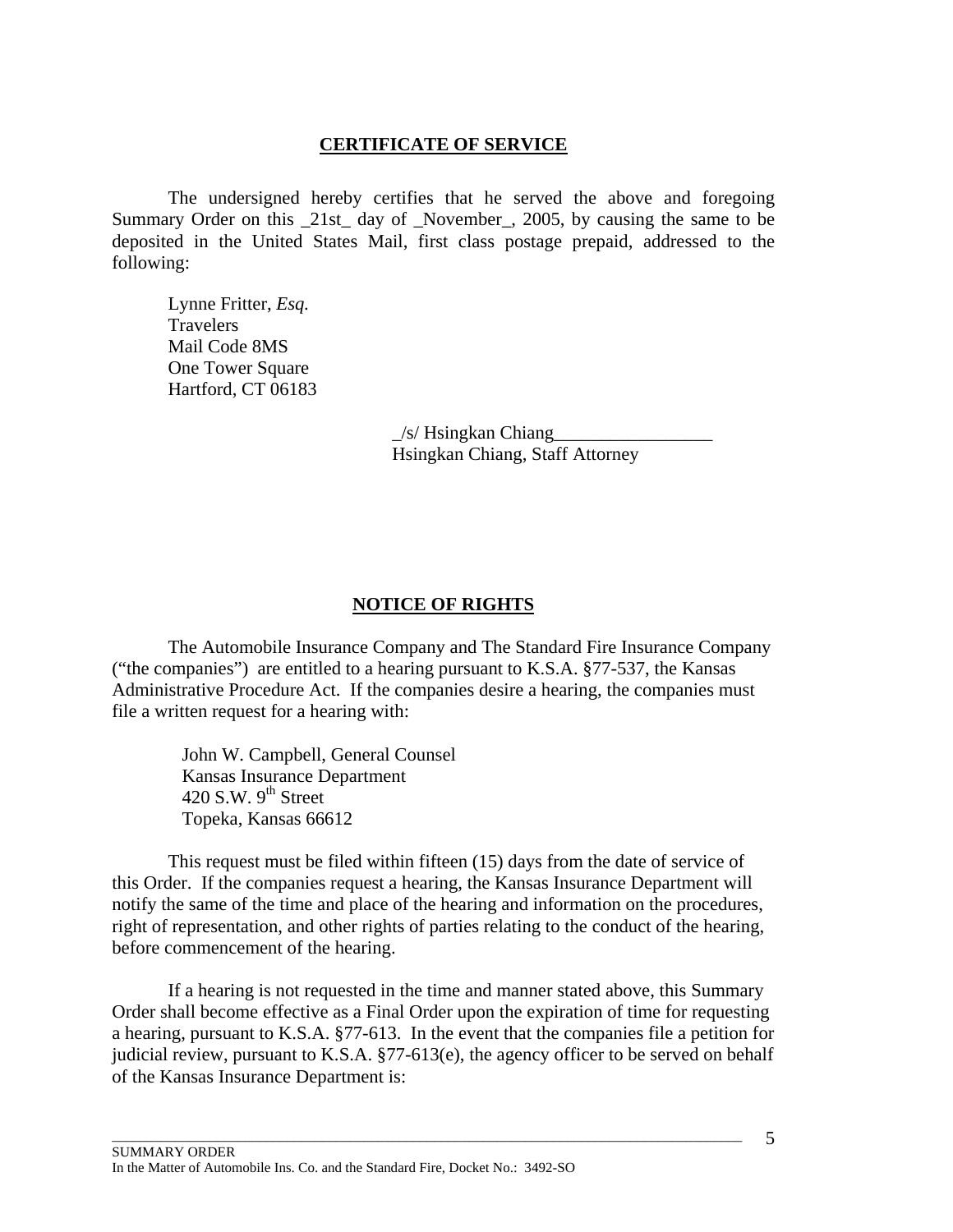## **CERTIFICATE OF SERVICE**

 The undersigned hereby certifies that he served the above and foregoing Summary Order on this \_21st\_ day of \_November\_, 2005, by causing the same to be deposited in the United States Mail, first class postage prepaid, addressed to the following:

 Lynne Fritter, *Esq.*  **Travelers**  Mail Code 8MS One Tower Square Hartford, CT 06183

> $/s$ / Hsingkan Chiang Hsingkan Chiang, Staff Attorney

### **NOTICE OF RIGHTS**

 The Automobile Insurance Company and The Standard Fire Insurance Company ("the companies") are entitled to a hearing pursuant to K.S.A. §77-537, the Kansas Administrative Procedure Act. If the companies desire a hearing, the companies must file a written request for a hearing with:

> John W. Campbell, General Counsel Kansas Insurance Department 420 S.W.  $9<sup>th</sup>$  Street Topeka, Kansas 66612

 This request must be filed within fifteen (15) days from the date of service of this Order. If the companies request a hearing, the Kansas Insurance Department will notify the same of the time and place of the hearing and information on the procedures, right of representation, and other rights of parties relating to the conduct of the hearing, before commencement of the hearing.

 If a hearing is not requested in the time and manner stated above, this Summary Order shall become effective as a Final Order upon the expiration of time for requesting a hearing, pursuant to K.S.A. §77-613. In the event that the companies file a petition for judicial review, pursuant to K.S.A. §77-613(e), the agency officer to be served on behalf of the Kansas Insurance Department is: